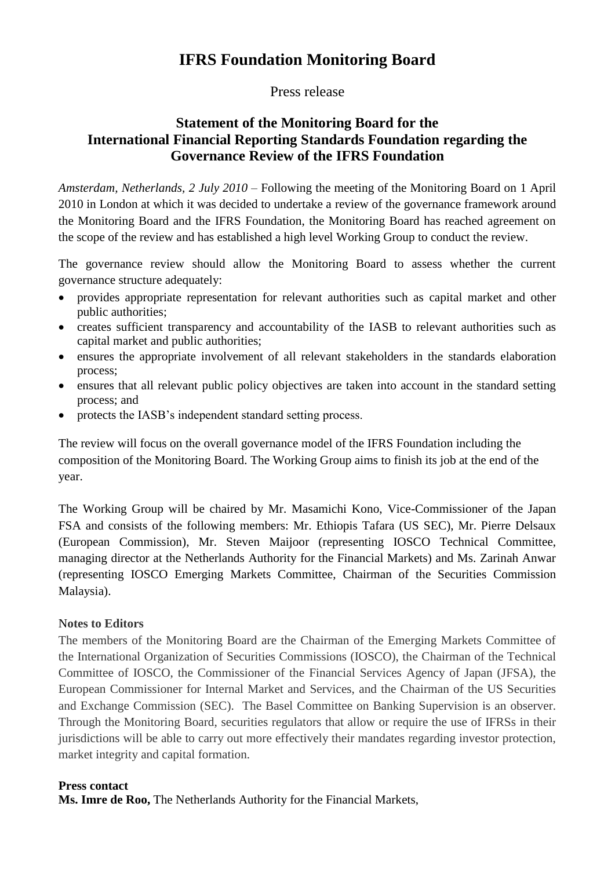## **IFRS Foundation Monitoring Board**

Press release

## **Statement of the Monitoring Board for the International Financial Reporting Standards Foundation regarding the Governance Review of the IFRS Foundation**

*Amsterdam, Netherlands, 2 July 2010 –* Following the meeting of the Monitoring Board on 1 April 2010 in London at which it was decided to undertake a review of the governance framework around the Monitoring Board and the IFRS Foundation, the Monitoring Board has reached agreement on the scope of the review and has established a high level Working Group to conduct the review.

The governance review should allow the Monitoring Board to assess whether the current governance structure adequately:

- provides appropriate representation for relevant authorities such as capital market and other public authorities;
- creates sufficient transparency and accountability of the IASB to relevant authorities such as capital market and public authorities;
- ensures the appropriate involvement of all relevant stakeholders in the standards elaboration process;
- ensures that all relevant public policy objectives are taken into account in the standard setting process; and
- protects the IASB's independent standard setting process.

The review will focus on the overall governance model of the IFRS Foundation including the composition of the Monitoring Board. The Working Group aims to finish its job at the end of the year.

The Working Group will be chaired by Mr. Masamichi Kono, Vice-Commissioner of the Japan FSA and consists of the following members: Mr. Ethiopis Tafara (US SEC), Mr. Pierre Delsaux (European Commission), Mr. Steven Maijoor (representing IOSCO Technical Committee, managing director at the Netherlands Authority for the Financial Markets) and Ms. Zarinah Anwar (representing IOSCO Emerging Markets Committee, Chairman of the Securities Commission Malaysia).

## N**otes to Editors**

The members of the Monitoring Board are the Chairman of the Emerging Markets Committee of the International Organization of Securities Commissions (IOSCO), the Chairman of the Technical Committee of IOSCO, the Commissioner of the Financial Services Agency of Japan (JFSA), the European Commissioner for Internal Market and Services, and the Chairman of the US Securities and Exchange Commission (SEC). The Basel Committee on Banking Supervision is an observer. Through the Monitoring Board, securities regulators that allow or require the use of IFRSs in their jurisdictions will be able to carry out more effectively their mandates regarding investor protection, market integrity and capital formation.

## **Press contact**

**Ms. Imre de Roo,** The Netherlands Authority for the Financial Markets,